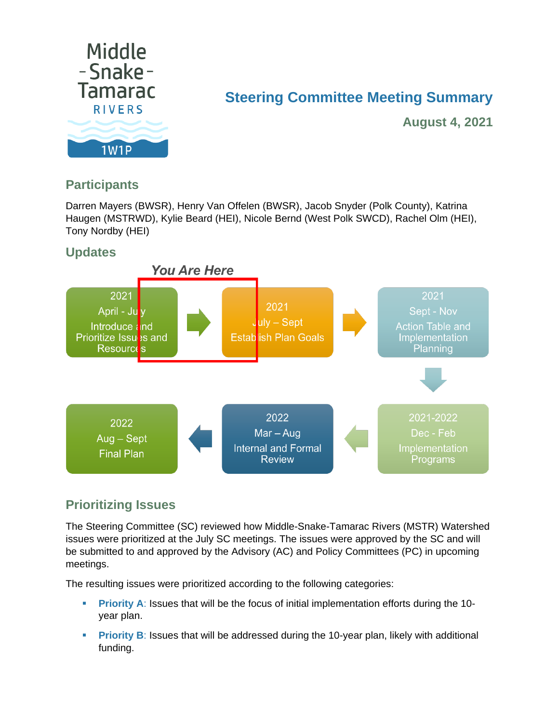

# **Steering Committee Meeting Summary**

**August 4, 2021**

## **Participants**

Darren Mayers (BWSR), Henry Van Offelen (BWSR), Jacob Snyder (Polk County), Katrina Haugen (MSTRWD), Kylie Beard (HEI), Nicole Bernd (West Polk SWCD), Rachel Olm (HEI), Tony Nordby (HEI)





## **Prioritizing Issues**

The Steering Committee (SC) reviewed how Middle-Snake-Tamarac Rivers (MSTR) Watershed issues were prioritized at the July SC meetings. The issues were approved by the SC and will be submitted to and approved by the Advisory (AC) and Policy Committees (PC) in upcoming meetings.

The resulting issues were prioritized according to the following categories:

- **Priority A: Issues that will be the focus of initial implementation efforts during the 10**year plan.
- **Priority B**: Issues that will be addressed during the 10-year plan, likely with additional funding.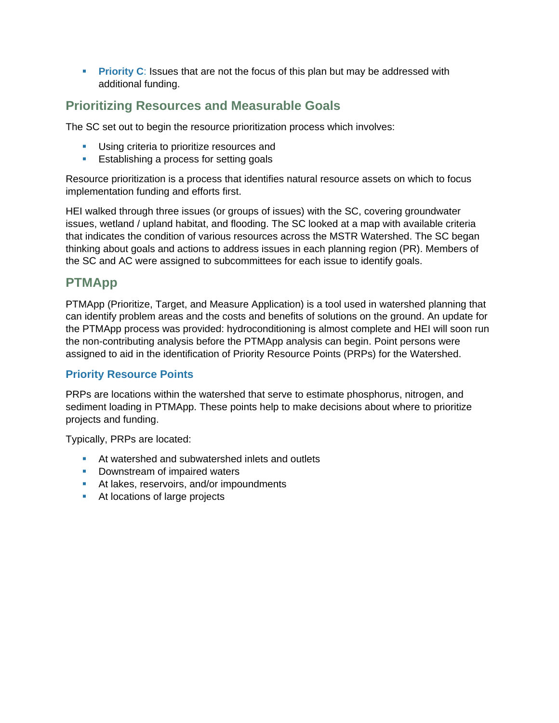**Priority C**: Issues that are not the focus of this plan but may be addressed with additional funding.

### **Prioritizing Resources and Measurable Goals**

The SC set out to begin the resource prioritization process which involves:

- **Using criteria to prioritize resources and**
- **Establishing a process for setting goals**

Resource prioritization is a process that identifies natural resource assets on which to focus implementation funding and efforts first.

HEI walked through three issues (or groups of issues) with the SC, covering groundwater issues, wetland / upland habitat, and flooding. The SC looked at a map with available criteria that indicates the condition of various resources across the MSTR Watershed. The SC began thinking about goals and actions to address issues in each planning region (PR). Members of the SC and AC were assigned to subcommittees for each issue to identify goals.

#### **PTMApp**

PTMApp (Prioritize, Target, and Measure Application) is a tool used in watershed planning that can identify problem areas and the costs and benefits of solutions on the ground. An update for the PTMApp process was provided: hydroconditioning is almost complete and HEI will soon run the non-contributing analysis before the PTMApp analysis can begin. Point persons were assigned to aid in the identification of Priority Resource Points (PRPs) for the Watershed.

#### **Priority Resource Points**

PRPs are locations within the watershed that serve to estimate phosphorus, nitrogen, and sediment loading in PTMApp. These points help to make decisions about where to prioritize projects and funding.

Typically, PRPs are located:

- **At watershed and subwatershed inlets and outlets**
- **Downstream of impaired waters**
- At lakes, reservoirs, and/or impoundments
- **At locations of large projects**